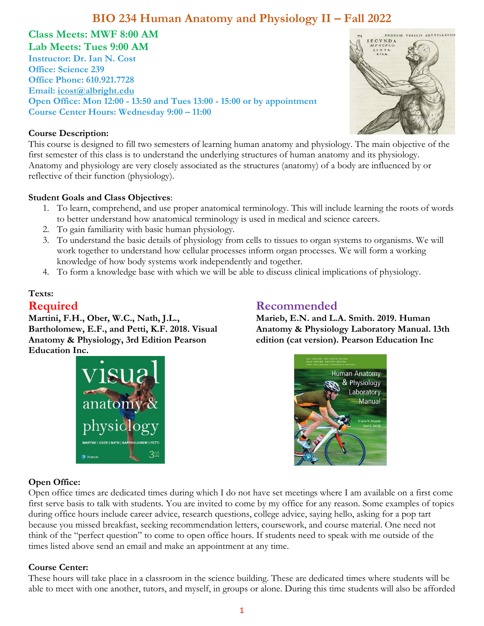#### **Class Meets: MWF 8:00 AM Lab Meets: Tues 9:00 AM**

**Instructor: Dr. Ian N. Cost Office: Science 239 Office Phone: 610.921.7728 Email: [icost@albright.edu](mailto:icost@albright.edu) Open Office: Mon 12:00 - 13:50 and Tues 13:00 - 15:00 or by appointment Course Center Hours: Wednesday 9:00 – 11:00**

#### **Course Description:**

This course is designed to fill two semesters of learning human anatomy and physiology. The main objective of the first semester of this class is to understand the underlying structures of human anatomy and its physiology. Anatomy and physiology are very closely associated as the structures (anatomy) of a body are influenced by or reflective of their function (physiology).

#### **Student Goals and Class Objectives**:

- 1. To learn, comprehend, and use proper anatomical terminology. This will include learning the roots of words to better understand how anatomical terminology is used in medical and science careers.
- 2. To gain familiarity with basic human physiology.
- 3. To understand the basic details of physiology from cells to tissues to organ systems to organisms. We will work together to understand how cellular processes inform organ processes. We will form a working knowledge of how body systems work independently and together.
- 4. To form a knowledge base with which we will be able to discuss clinical implications of physiology.

# **Texts:**

### **Required**

**Martini, F.H., Ober, W.C., Nath, J.L., Bartholomew, E.F., and Petti, K.F. 2018. Visual Anatomy & Physiology, 3rd Edition Pearson Education Inc.**



## **Recommended**

**Marieb, E.N. and L.A. Smith. 2019. Human Anatomy & Physiology Laboratory Manual. 13th edition (cat version). Pearson Education Inc**



#### **Open Office:**

Open office times are dedicated times during which I do not have set meetings where I am available on a first come first serve basis to talk with students. You are invited to come by my office for any reason. Some examples of topics during office hours include career advice, research questions, college advice, saying hello, asking for a pop tart because you missed breakfast, seeking recommendation letters, coursework, and course material. One need not think of the "perfect question" to come to open office hours. If students need to speak with me outside of the times listed above send an email and make an appointment at any time.

#### **Course Center:**

These hours will take place in a classroom in the science building. These are dedicated times where students will be able to meet with one another, tutors, and myself, in groups or alone. During this time students will also be afforded

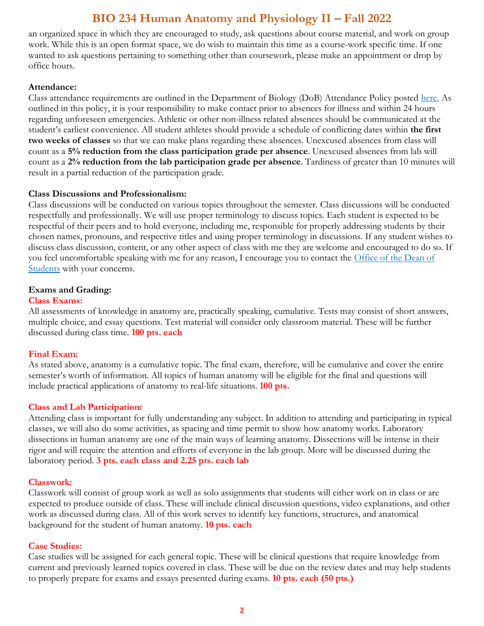an organized space in which they are encouraged to study, ask questions about course material, and work on group work. While this is an open format space, we do wish to maintain this time as a course-work specific time. If one wanted to ask questions pertaining to something other than coursework, please make an appointment or drop by office hours.

#### **Attendance:**

Class attendance requirements are outlined in the Department of Biology (DoB) Attendance Policy posted [here.](https://www.albright.edu/academic/undergraduate-programs/biology/) As outlined in this policy, it is your responsibility to make contact prior to absences for illness and within 24 hours regarding unforeseen emergencies. Athletic or other non-illness related absences should be communicated at the student's earliest convenience. All student athletes should provide a schedule of conflicting dates within **the first two weeks of classes** so that we can make plans regarding these absences. Unexcused absences from class will count as a **5% reduction from the class participation grade per absence**. Unexcused absences from lab will count as a **2% reduction from the lab participation grade per absence**. Tardiness of greater than 10 minutes will result in a partial reduction of the participation grade.

#### **Class Discussions and Professionalism:**

Class discussions will be conducted on various topics throughout the semester. Class discussions will be conducted respectfully and professionally. We will use proper terminology to discuss topics. Each student is expected to be respectful of their peers and to hold everyone, including me, responsible for properly addressing students by their chosen names, pronouns, and respective titles and using proper terminology in discussions. If any student wishes to discuss class discussion, content, or any other aspect of class with me they are welcome and encouraged to do so. If you feel uncomfortable speaking with me for any reason, I encourage you to contact the Office of the Dean of [Students](https://www.albright.edu/student-life/dean-of-students/) with your concerns.

#### **Exams and Grading:**

#### **Class Exams:**

All assessments of knowledge in anatomy are, practically speaking, cumulative. Tests may consist of short answers, multiple choice, and essay questions. Test material will consider only classroom material. These will be further discussed during class time. **100 pts. each**

#### **Final Exam:**

As stated above, anatomy is a cumulative topic. The final exam, therefore, will be cumulative and cover the entire semester's worth of information. All topics of human anatomy will be eligible for the final and questions will include practical applications of anatomy to real-life situations. **100 pts.** 

#### **Class and Lab Participation:**

Attending class is important for fully understanding any subject. In addition to attending and participating in typical classes, we will also do some activities, as spacing and time permit to show how anatomy works. Laboratory dissections in human anatomy are one of the main ways of learning anatomy. Dissections will be intense in their rigor and will require the attention and efforts of everyone in the lab group. More will be discussed during the laboratory period. **3 pts. each class and 2.25 pts. each lab**

#### **Classwork:**

Classwork will consist of group work as well as solo assignments that students will either work on in class or are expected to produce outside of class. These will include clinical discussion questions, video explanations, and other work as discussed during class. All of this work serves to identify key functions, structures, and anatomical background for the student of human anatomy. **10 pts. each**

#### **Case Studies:**

Case studies will be assigned for each general topic. These will be clinical questions that require knowledge from current and previously learned topics covered in class. These will be due on the review dates and may help students to properly prepare for exams and essays presented during exams. **10 pts. each (50 pts.)**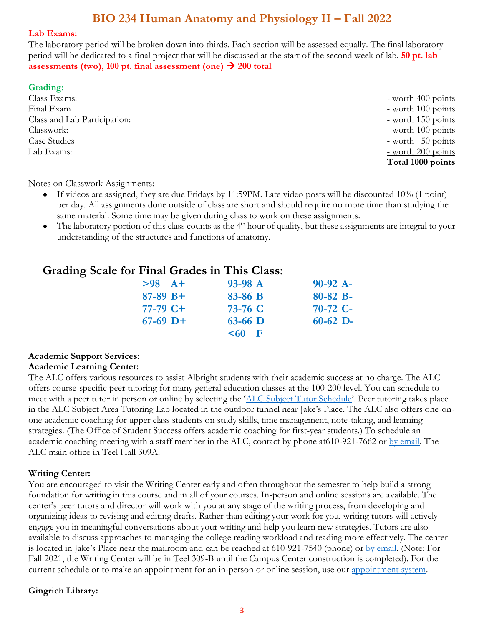#### **Lab Exams:**

The laboratory period will be broken down into thirds. Each section will be assessed equally. The final laboratory period will be dedicated to a final project that will be discussed at the start of the second week of lab. **50 pt. lab assessments** (two), 100 pt. final assessment (one)  $\rightarrow$  200 total

#### **Grading:**

Class Exams:  $\blacksquare$  worth 400 points Final Exam  $-$  worth 100 points Class and Lab Participation:  $\overline{ }$  - worth 150 points Classwork: - worth 100 points Case Studies - worth 50 points Lab Exams:  $\frac{1}{200}$  points

**Total 1000 points**

Notes on Classwork Assignments:

- If videos are assigned, they are due Fridays by 11:59PM. Late video posts will be discounted 10% (1 point) per day. All assignments done outside of class are short and should require no more time than studying the same material. Some time may be given during class to work on these assignments.
- The laboratory portion of this class counts as the  $4<sup>th</sup>$  hour of quality, but these assignments are integral to your understanding of the structures and functions of anatomy.

### **Grading Scale for Final Grades in This Class:**

| $>98$ $A+$ | $93-98$ A | $90-92$ A-    |
|------------|-----------|---------------|
| $87-89 B+$ | 83-86 B   | $80 - 82 B -$ |
| $77-79$ C+ | 73-76 C   | $70-72$ C-    |
| $67-69$ D+ | $63-66$ D | $60-62$ D-    |
|            | $< 60$ F  |               |

#### **Academic Support Services: Academic Learning Center:**

The ALC offers various resources to assist Albright students with their academic success at no charge. The ALC offers course-specific peer tutoring for many general education classes at the 100-200 level. You can schedule to meet with a peer tutor in person or online by selecting the '[ALC Subject Tutor Schedule](https://alb.mywconline.com/)'. Peer tutoring takes place in the ALC Subject Area Tutoring Lab located in the outdoor tunnel near Jake's Place. The ALC also offers one-onone academic coaching for upper class students on study skills, time management, note-taking, and learning strategies. (The Office of Student Success offers academic coaching for first-year students.) To schedule an academic coaching meeting with a staff member in the ALC, contact by phone at610-921-7662 or [by email.](mailto:academiclearningcenter@albright.edu) The ALC main office in Teel Hall 309A.

#### **Writing Center:**

You are encouraged to visit the Writing Center early and often throughout the semester to help build a strong foundation for writing in this course and in all of your courses. In-person and online sessions are available. The center's peer tutors and director will work with you at any stage of the writing process, from developing and organizing ideas to revising and editing drafts. Rather than editing your work for you, writing tutors will actively engage you in meaningful conversations about your writing and help you learn new strategies. Tutors are also available to discuss approaches to managing the college reading workload and reading more effectively. The center is located in Jake's Place near the mailroom and can be reached at 610-921-7540 (phone) or [by email.](mailto:writingcenter@albright.edu) (Note: For Fall 2021, the Writing Center will be in Teel 309-B until the Campus Center construction is completed). For the current schedule or to make an appointment for an in-person or online session, use our [appointment system.](https://alb.mywconline.com/)

#### **Gingrich Library:**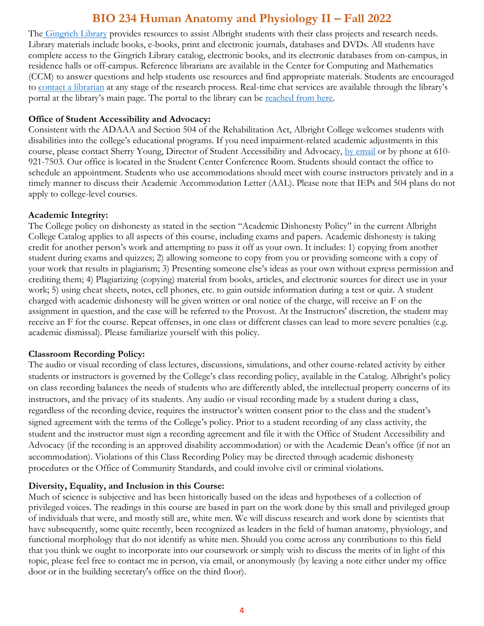The [Gingrich Library](http://library.albright.edu/) provides resources to assist Albright students with their class projects and research needs. Library materials include books, e-books, print and electronic journals, databases and DVDs. All students have complete access to the Gingrich Library catalog, electronic books, and its electronic databases from on-campus, in residence halls or off-campus. Reference librarians are available in the Center for Computing and Mathematics (CCM) to answer questions and help students use resources and find appropriate materials. Students are encouraged to [contact a librarian](http://library.albright.edu/contact) at any stage of the research process. Real-time chat services are available through the library's portal at the library's main page. The portal to the library can be [reached from here.](http://library.albright.edu/)

#### **Office of Student Accessibility and Advocacy:**

Consistent with the ADAAA and Section 504 of the Rehabilitation Act, Albright College welcomes students with disabilities into the college's educational programs. If you need impairment-related academic adjustments in this course, please contact Sherry Young, Director of Student Accessibility and Advocacy, [by email](mailto:SAA@albright.edu) or by phone at 610-921-7503. Our office is located in the Student Center Conference Room. Students should contact the office to schedule an appointment. Students who use accommodations should meet with course instructors privately and in a timely manner to discuss their Academic Accommodation Letter (AAL). Please note that IEPs and 504 plans do not apply to college-level courses.

#### **Academic Integrity:**

The College policy on dishonesty as stated in the section "Academic Dishonesty Policy" in the current Albright College Catalog applies to all aspects of this course, including exams and papers. Academic dishonesty is taking credit for another person's work and attempting to pass it off as your own. It includes: 1) copying from another student during exams and quizzes; 2) allowing someone to copy from you or providing someone with a copy of your work that results in plagiarism; 3) Presenting someone else's ideas as your own without express permission and crediting them; 4) Plagiarizing (copying) material from books, articles, and electronic sources for direct use in your work; 5) using cheat sheets, notes, cell phones, etc. to gain outside information during a test or quiz. A student charged with academic dishonesty will be given written or oral notice of the charge, will receive an F on the assignment in question, and the case will be referred to the Provost. At the Instructors' discretion, the student may receive an F for the course. Repeat offenses, in one class or different classes can lead to more severe penalties (e.g. academic dismissal). Please familiarize yourself with this policy.

#### **Classroom Recording Policy:**

The audio or visual recording of class lectures, discussions, simulations, and other course-related activity by either students or instructors is governed by the College's class recording policy, available in the Catalog. Albright's policy on class recording balances the needs of students who are differently abled, the intellectual property concerns of its instructors, and the privacy of its students. Any audio or visual recording made by a student during a class, regardless of the recording device, requires the instructor's written consent prior to the class and the student's signed agreement with the terms of the College's policy. Prior to a student recording of any class activity, the student and the instructor must sign a recording agreement and file it with the Office of Student Accessibility and Advocacy (if the recording is an approved disability accommodation) or with the Academic Dean's office (if not an accommodation). Violations of this Class Recording Policy may be directed through academic dishonesty procedures or the Office of Community Standards, and could involve civil or criminal violations.

#### **Diversity, Equality, and Inclusion in this Course:**

Much of science is subjective and has been historically based on the ideas and hypotheses of a collection of privileged voices. The readings in this course are based in part on the work done by this small and privileged group of individuals that were, and mostly still are, white men. We will discuss research and work done by scientists that have subsequently, some quite recently, been recognized as leaders in the field of human anatomy, physiology, and functional morphology that do not identify as white men. Should you come across any contributions to this field that you think we ought to incorporate into our coursework or simply wish to discuss the merits of in light of this topic, please feel free to contact me in person, via email, or anonymously (by leaving a note either under my office door or in the building secretary's office on the third floor).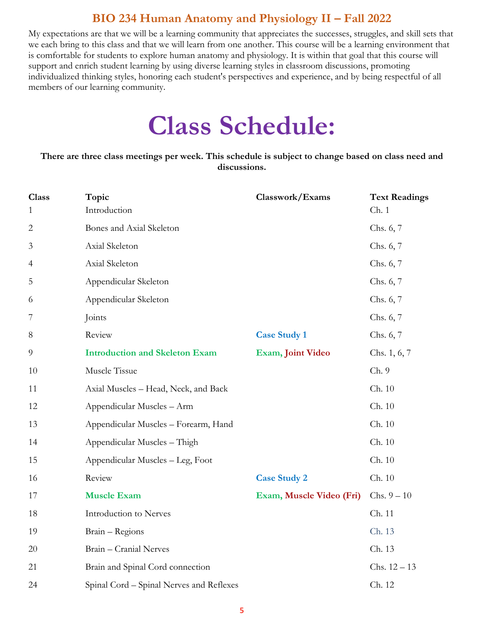My expectations are that we will be a learning community that appreciates the successes, struggles, and skill sets that we each bring to this class and that we will learn from one another. This course will be a learning environment that is comfortable for students to explore human anatomy and physiology. It is within that goal that this course will support and enrich student learning by using diverse learning styles in classroom discussions, promoting individualized thinking styles, honoring each student's perspectives and experience, and by being respectful of all members of our learning community.

# **Class Schedule:**

**There are three class meetings per week. This schedule is subject to change based on class need and discussions.**

| <b>Class</b><br>$\mathbf{1}$ | Topic<br>Introduction                    | Classwork/Exams          | <b>Text Readings</b><br>Ch.1 |
|------------------------------|------------------------------------------|--------------------------|------------------------------|
| $\mathbf{2}$                 | Bones and Axial Skeleton                 |                          | Chs. 6, 7                    |
| 3                            | Axial Skeleton                           |                          | Chs. 6, 7                    |
| $\overline{4}$               | Axial Skeleton                           |                          | Chs. 6, 7                    |
| 5                            | Appendicular Skeleton                    |                          | Chs. 6, 7                    |
| 6                            | Appendicular Skeleton                    |                          | Chs. 6, 7                    |
| 7                            | Joints                                   |                          | Chs. 6, 7                    |
| 8                            | Review                                   | <b>Case Study 1</b>      | Chs. 6, 7                    |
| $\overline{9}$               | <b>Introduction and Skeleton Exam</b>    | <b>Exam, Joint Video</b> | Chs. 1, 6, 7                 |
| $10\,$                       | Muscle Tissue                            |                          | Ch.9                         |
| 11                           | Axial Muscles - Head, Neck, and Back     |                          | Ch. 10                       |
| 12                           | Appendicular Muscles - Arm               |                          | Ch. 10                       |
| 13                           | Appendicular Muscles - Forearm, Hand     |                          | Ch. 10                       |
| 14                           | Appendicular Muscles - Thigh             |                          | Ch. 10                       |
| 15                           | Appendicular Muscles - Leg, Foot         |                          | Ch. 10                       |
| 16                           | Review                                   | <b>Case Study 2</b>      | Ch. 10                       |
| 17                           | <b>Muscle Exam</b>                       | Exam, Muscle Video (Fri) | Chs. $9 - 10$                |
| 18                           | Introduction to Nerves                   |                          | Ch. 11                       |
| 19                           | Brain - Regions                          |                          | Ch. 13                       |
| 20                           | Brain - Cranial Nerves                   |                          | Ch. 13                       |
| 21                           | Brain and Spinal Cord connection         |                          | Chs. $12 - 13$               |
| 24                           | Spinal Cord - Spinal Nerves and Reflexes |                          | Ch. 12                       |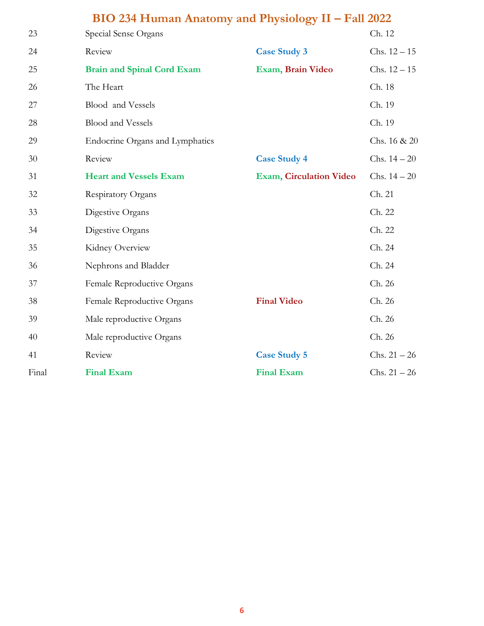| 23    | Special Sense Organs              |                                | Ch. 12         |
|-------|-----------------------------------|--------------------------------|----------------|
| 24    | Review                            | <b>Case Study 3</b>            | $Chs. 12-15$   |
| 25    | <b>Brain and Spinal Cord Exam</b> | Exam, Brain Video              | Chs. $12 - 15$ |
| 26    | The Heart                         |                                | Ch. 18         |
| 27    | Blood and Vessels                 |                                | Ch. 19         |
| 28    | <b>Blood and Vessels</b>          |                                | Ch. 19         |
| 29    | Endocrine Organs and Lymphatics   |                                | Chs. 16 & 20   |
| 30    | Review                            | <b>Case Study 4</b>            | Chs. $14 - 20$ |
| 31    | <b>Heart and Vessels Exam</b>     | <b>Exam, Circulation Video</b> | Chs. $14 - 20$ |
| 32    | Respiratory Organs                |                                | Ch. 21         |
| 33    | Digestive Organs                  |                                | Ch. 22         |
| 34    | Digestive Organs                  |                                | Ch. 22         |
| 35    | Kidney Overview                   |                                | Ch. 24         |
| 36    | Nephrons and Bladder              |                                | Ch. 24         |
| 37    | Female Reproductive Organs        |                                | Ch. 26         |
| 38    | Female Reproductive Organs        | <b>Final Video</b>             | Ch. 26         |
| 39    | Male reproductive Organs          |                                | Ch. 26         |
| 40    | Male reproductive Organs          |                                | Ch. 26         |
| 41    | Review                            | <b>Case Study 5</b>            | $Chs. 21 - 26$ |
| Final | <b>Final Exam</b>                 | <b>Final Exam</b>              | $Chs. 21 - 26$ |